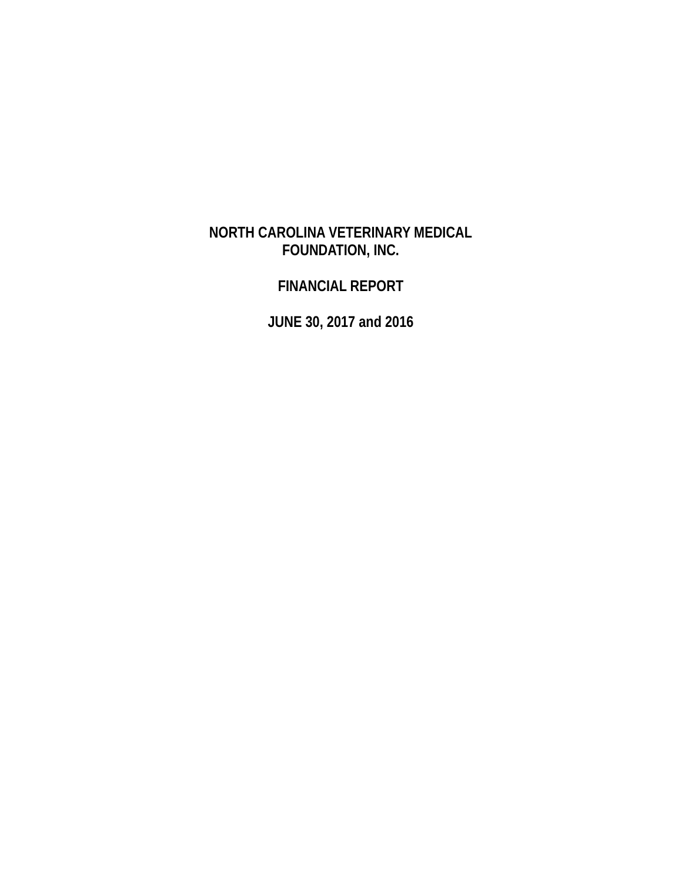# **NORTH CAROLINA VETERINARY MEDICAL FOUNDATION, INC.**

# **FINANCIAL REPORT**

**JUNE 30, 2017 and 2016**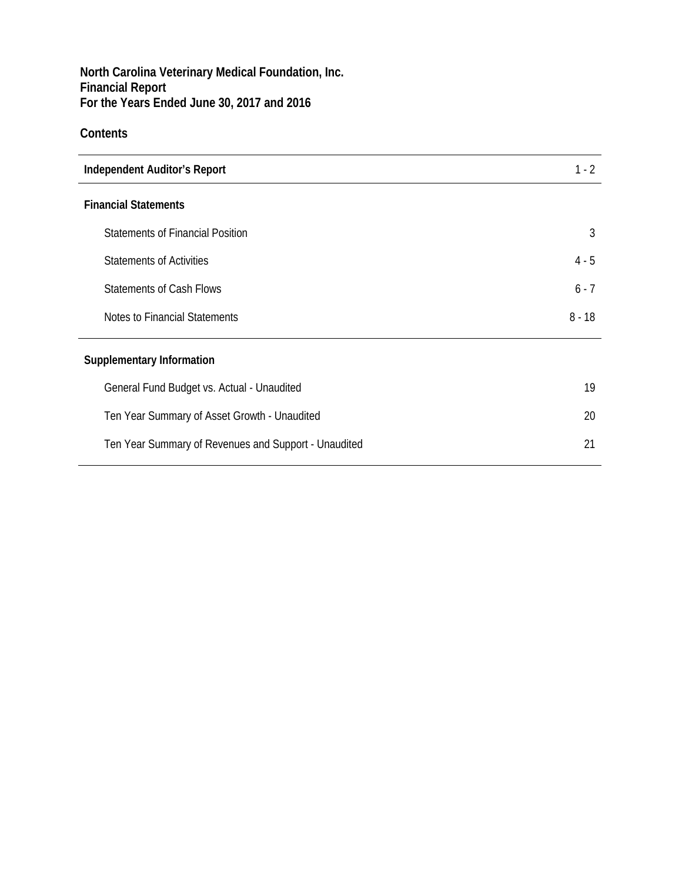## **Contents**

| <b>Independent Auditor's Report</b>                  |          |  |  |  |  |  |  |
|------------------------------------------------------|----------|--|--|--|--|--|--|
| <b>Financial Statements</b>                          |          |  |  |  |  |  |  |
| <b>Statements of Financial Position</b>              | 3        |  |  |  |  |  |  |
| <b>Statements of Activities</b>                      | $4 - 5$  |  |  |  |  |  |  |
| <b>Statements of Cash Flows</b>                      | $6 - 7$  |  |  |  |  |  |  |
| Notes to Financial Statements                        | $8 - 18$ |  |  |  |  |  |  |
| <b>Supplementary Information</b>                     |          |  |  |  |  |  |  |
| General Fund Budget vs. Actual - Unaudited           | 19       |  |  |  |  |  |  |
| Ten Year Summary of Asset Growth - Unaudited         | 20       |  |  |  |  |  |  |
| Ten Year Summary of Revenues and Support - Unaudited | 21       |  |  |  |  |  |  |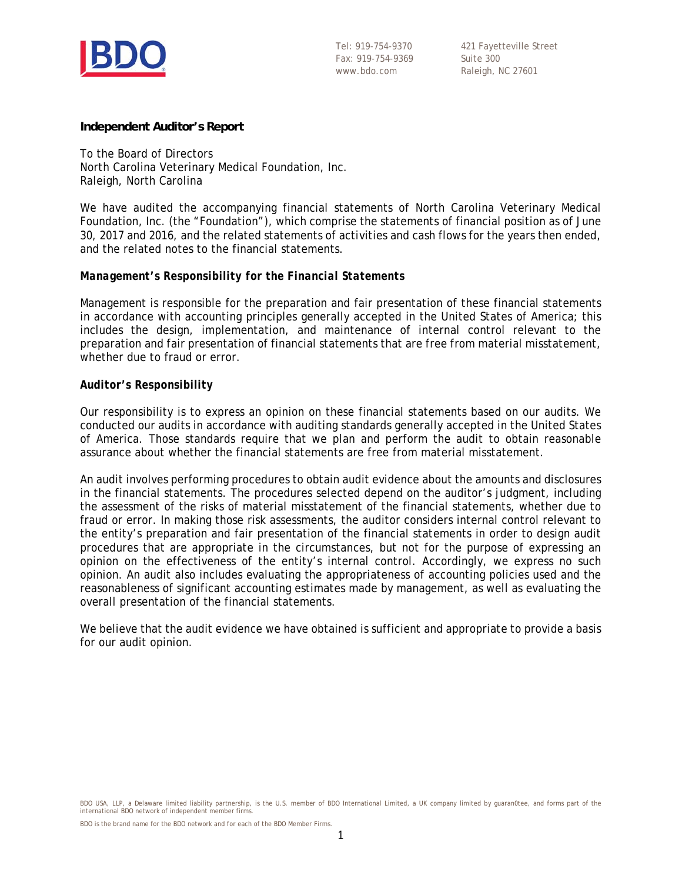

421 Fayetteville Street Suite 300 Raleigh, NC 27601

#### **Independent Auditor's Report**

To the Board of Directors North Carolina Veterinary Medical Foundation, Inc. Raleigh, North Carolina

We have audited the accompanying financial statements of North Carolina Veterinary Medical Foundation, Inc. (the "Foundation"), which comprise the statements of financial position as of June 30, 2017 and 2016, and the related statements of activities and cash flows for the years then ended, and the related notes to the financial statements.

#### *Management's Responsibility for the Financial Statements*

Management is responsible for the preparation and fair presentation of these financial statements in accordance with accounting principles generally accepted in the United States of America; this includes the design, implementation, and maintenance of internal control relevant to the preparation and fair presentation of financial statements that are free from material misstatement, whether due to fraud or error.

### *Auditor's Responsibility*

Our responsibility is to express an opinion on these financial statements based on our audits. We conducted our audits in accordance with auditing standards generally accepted in the United States of America. Those standards require that we plan and perform the audit to obtain reasonable assurance about whether the financial statements are free from material misstatement.

An audit involves performing procedures to obtain audit evidence about the amounts and disclosures in the financial statements. The procedures selected depend on the auditor's judgment, including the assessment of the risks of material misstatement of the financial statements, whether due to fraud or error. In making those risk assessments, the auditor considers internal control relevant to the entity's preparation and fair presentation of the financial statements in order to design audit procedures that are appropriate in the circumstances, but not for the purpose of expressing an opinion on the effectiveness of the entity's internal control. Accordingly, we express no such opinion. An audit also includes evaluating the appropriateness of accounting policies used and the reasonableness of significant accounting estimates made by management, as well as evaluating the overall presentation of the financial statements.

We believe that the audit evidence we have obtained is sufficient and appropriate to provide a basis for our audit opinion.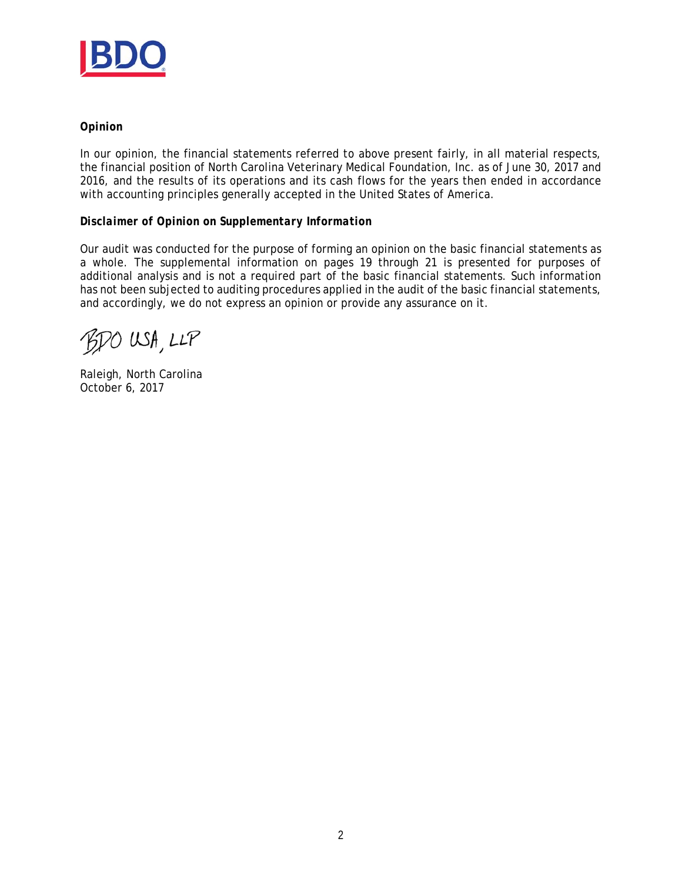

### *Opinion*

In our opinion, the financial statements referred to above present fairly, in all material respects, the financial position of North Carolina Veterinary Medical Foundation, Inc. as of June 30, 2017 and 2016, and the results of its operations and its cash flows for the years then ended in accordance with accounting principles generally accepted in the United States of America.

#### *Disclaimer of Opinion on Supplementary Information*

Our audit was conducted for the purpose of forming an opinion on the basic financial statements as a whole. The supplemental information on pages 19 through 21 is presented for purposes of additional analysis and is not a required part of the basic financial statements. Such information has not been subjected to auditing procedures applied in the audit of the basic financial statements, and accordingly, we do not express an opinion or provide any assurance on it.

BDO USA, LLP

Raleigh, North Carolina October 6, 2017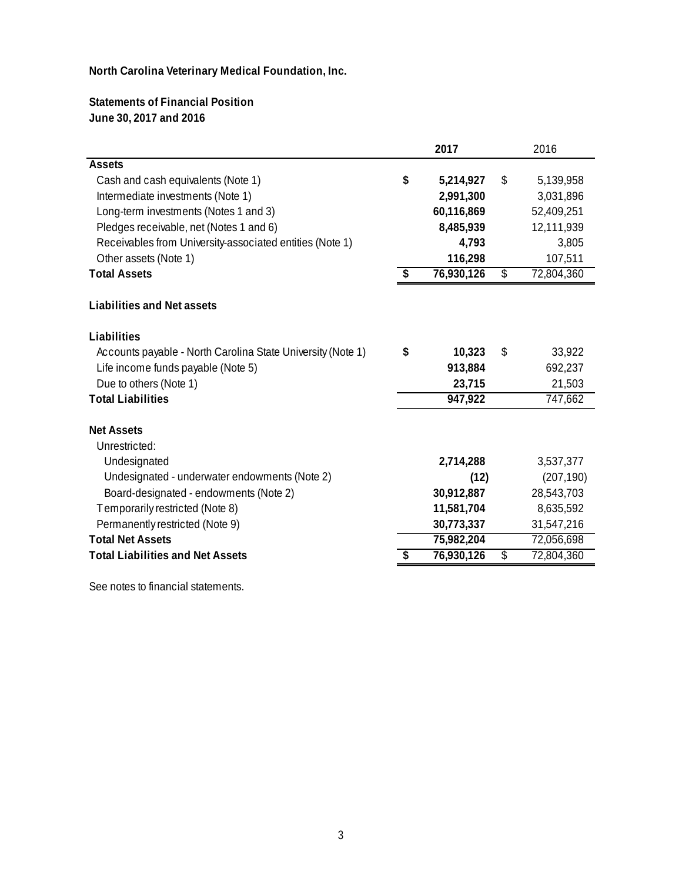## **Statements of Financial Position June 30, 2017 and 2016**

| <b>Assets</b>                                               |                  |                  |
|-------------------------------------------------------------|------------------|------------------|
|                                                             |                  |                  |
| Cash and cash equivalents (Note 1)                          | \$<br>5,214,927  | \$<br>5,139,958  |
| Intermediate investments (Note 1)                           | 2,991,300        | 3,031,896        |
| Long-term investments (Notes 1 and 3)                       | 60,116,869       | 52,409,251       |
| Pledges receivable, net (Notes 1 and 6)                     | 8,485,939        | 12,111,939       |
| Receivables from University-associated entities (Note 1)    | 4,793            | 3,805            |
| Other assets (Note 1)                                       | 116,298          | 107,511          |
| <b>Total Assets</b>                                         | \$<br>76,930,126 | \$<br>72,804,360 |
| <b>Liabilities and Net assets</b>                           |                  |                  |
| Liabilities                                                 |                  |                  |
| Accounts payable - North Carolina State University (Note 1) | \$<br>10,323     | \$<br>33,922     |
| Life income funds payable (Note 5)                          | 913,884          | 692,237          |
| Due to others (Note 1)                                      | 23,715           | 21,503           |
| <b>Total Liabilities</b>                                    | 947,922          | 747,662          |
| <b>Net Assets</b>                                           |                  |                  |
| Unrestricted:                                               |                  |                  |
| Undesignated                                                | 2,714,288        | 3,537,377        |
| Undesignated - underwater endowments (Note 2)               | (12)             | (207, 190)       |
| Board-designated - endowments (Note 2)                      | 30,912,887       | 28,543,703       |
| Temporarily restricted (Note 8)                             | 11,581,704       | 8,635,592        |
| Permanently restricted (Note 9)                             | 30,773,337       | 31,547,216       |
| <b>Total Net Assets</b>                                     | 75,982,204       | 72,056,698       |
| <b>Total Liabilities and Net Assets</b>                     | \$<br>76,930,126 | \$<br>72,804,360 |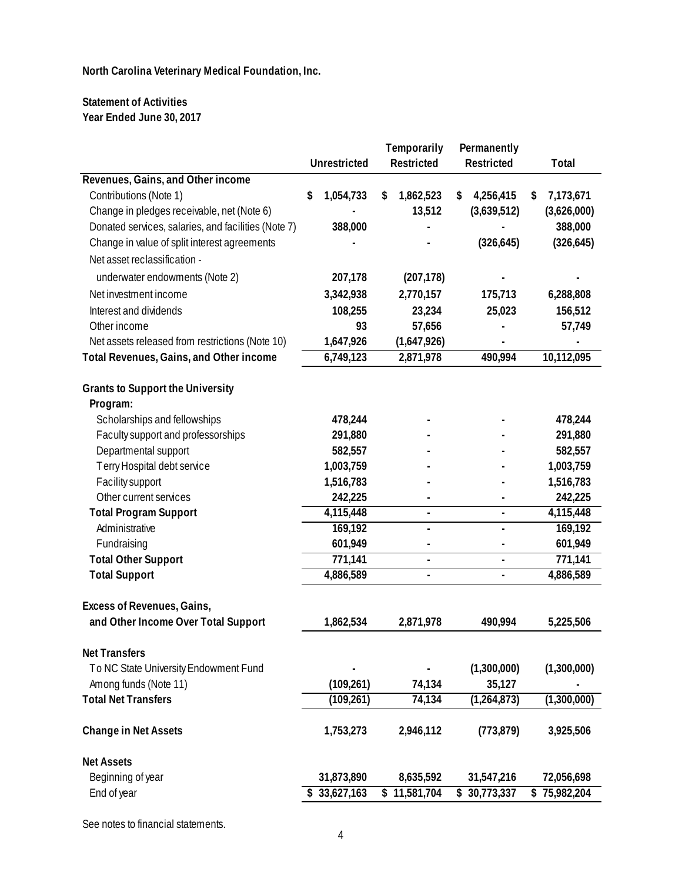## **Statement of Activities Year Ended June 30, 2017**

|                                                     |                     | Temporarily     | Permanently              |                 |
|-----------------------------------------------------|---------------------|-----------------|--------------------------|-----------------|
|                                                     | <b>Unrestricted</b> | Restricted      | <b>Restricted</b>        | Total           |
| Revenues, Gains, and Other income                   |                     |                 |                          |                 |
| Contributions (Note 1)                              | \$<br>1,054,733     | 1,862,523<br>\$ | \$<br>4,256,415          | \$<br>7,173,671 |
| Change in pledges receivable, net (Note 6)          |                     | 13,512          | (3,639,512)              | (3,626,000)     |
| Donated services, salaries, and facilities (Note 7) | 388,000             |                 |                          | 388,000         |
| Change in value of split interest agreements        |                     |                 | (326, 645)               | (326, 645)      |
| Net asset reclassification -                        |                     |                 |                          |                 |
| underwater endowments (Note 2)                      | 207,178             | (207, 178)      |                          |                 |
| Net investment income                               | 3,342,938           | 2,770,157       | 175,713                  | 6,288,808       |
| Interest and dividends                              | 108,255             | 23,234          | 25,023                   | 156,512         |
| Other income                                        | 93                  | 57,656          |                          | 57,749          |
| Net assets released from restrictions (Note 10)     | 1,647,926           | (1,647,926)     |                          |                 |
| Total Revenues, Gains, and Other income             | 6,749,123           | 2,871,978       | 490,994                  | 10,112,095      |
| <b>Grants to Support the University</b>             |                     |                 |                          |                 |
| Program:                                            |                     |                 |                          |                 |
| Scholarships and fellowships                        | 478,244             |                 |                          | 478,244         |
| Faculty support and professorships                  | 291,880             |                 |                          | 291,880         |
| Departmental support                                | 582,557             |                 |                          | 582,557         |
| Terry Hospital debt service                         | 1,003,759           |                 |                          | 1,003,759       |
| Facility support                                    | 1,516,783           |                 |                          | 1,516,783       |
| Other current services                              | 242,225             |                 |                          | 242,225         |
| <b>Total Program Support</b>                        | 4,115,448           | $\frac{1}{2}$   | $\overline{\phantom{a}}$ | 4,115,448       |
| Administrative                                      | 169,192             |                 |                          | 169,192         |
| Fundraising                                         | 601,949             |                 | -                        | 601,949         |
| <b>Total Other Support</b>                          | 771,141             | $\overline{a}$  | $\blacksquare$           | 771,141         |
| <b>Total Support</b>                                | 4,886,589           |                 |                          | 4,886,589       |
| Excess of Revenues, Gains,                          |                     |                 |                          |                 |
| and Other Income Over Total Support                 | 1,862,534           | 2,871,978       | 490,994                  | 5,225,506       |
| <b>Net Transfers</b>                                |                     |                 |                          |                 |
| To NC State University Endowment Fund               |                     |                 | (1,300,000)              | (1,300,000)     |
| Among funds (Note 11)                               | (109, 261)          | 74,134          | 35,127                   |                 |
| <b>Total Net Transfers</b>                          | (109, 261)          | 74,134          | (1, 264, 873)            | (1,300,000)     |
|                                                     |                     |                 |                          |                 |
| <b>Change in Net Assets</b>                         | 1,753,273           | 2,946,112       | (773, 879)               | 3,925,506       |
| <b>Net Assets</b>                                   |                     |                 |                          |                 |
| Beginning of year                                   | 31,873,890          | 8,635,592       | 31,547,216               | 72,056,698      |
| End of year                                         | 33,627,163          | \$11,581,704    | \$30,773,337             | \$75,982,204    |
|                                                     |                     |                 |                          |                 |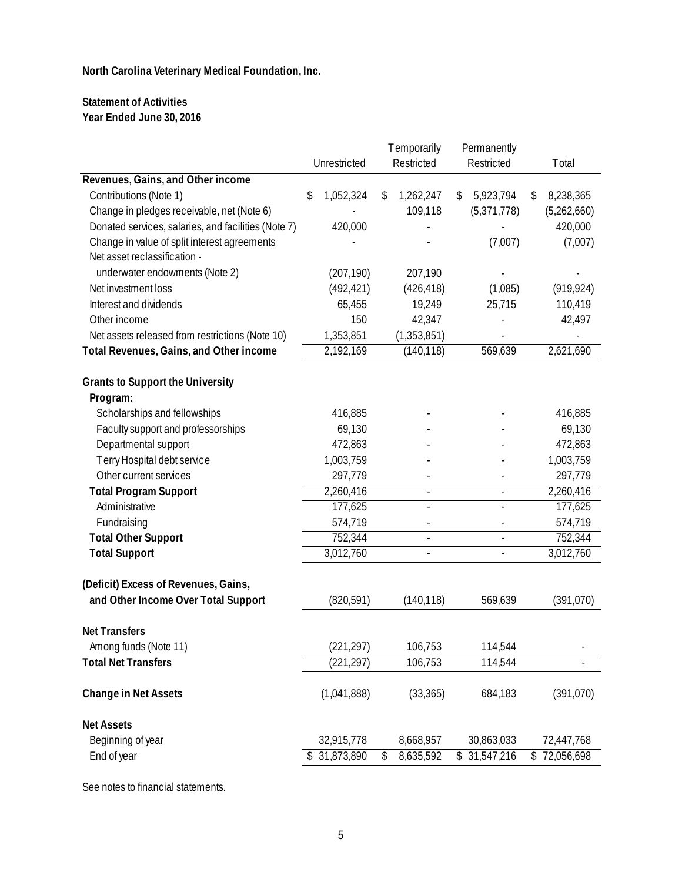## **Statement of Activities Year Ended June 30, 2016**

| Restricted<br>Restricted<br>Unrestricted<br>Total<br>Revenues, Gains, and Other income<br>Contributions (Note 1)<br>1,052,324<br>1,262,247<br>5,923,794<br>8,238,365<br>\$<br>\$<br>\$<br>\$<br>Change in pledges receivable, net (Note 6)<br>109,118<br>(5,371,778)<br>(5,262,660)<br>Donated services, salaries, and facilities (Note 7)<br>420,000<br>420,000<br>Change in value of split interest agreements<br>(7,007)<br>(7,007)<br>Net asset reclassification -<br>underwater endowments (Note 2)<br>(207, 190)<br>207,190<br>(492, 421)<br>(1,085)<br>Net investment loss<br>(426, 418)<br>(919, 924)<br>Interest and dividends<br>65,455<br>19,249<br>25,715<br>110,419<br>Other income<br>150<br>42,347<br>42,497<br>1,353,851<br>(1,353,851)<br>Net assets released from restrictions (Note 10)<br>569,639<br>Total Revenues, Gains, and Other income<br>2,192,169<br>(140, 118)<br>2,621,690<br><b>Grants to Support the University</b><br>Program:<br>Scholarships and fellowships<br>416,885<br>416,885<br>Faculty support and professorships<br>69,130<br>69,130<br>Departmental support<br>472,863<br>472,863<br>Terry Hospital debt service<br>1,003,759<br>1,003,759<br>Other current services<br>297,779<br>297,779<br><b>Total Program Support</b><br>2,260,416<br>2,260,416<br>÷,<br>$\blacksquare$<br>177,625<br>177,625<br>Administrative<br>574,719<br>574,719<br>Fundraising<br>752,344<br><b>Total Other Support</b><br>752,344<br>$\blacksquare$<br>$\blacksquare$<br>3,012,760<br>3,012,760<br><b>Total Support</b><br>(Deficit) Excess of Revenues, Gains,<br>and Other Income Over Total Support<br>(140, 118)<br>(820, 591)<br>569,639<br>(391, 070)<br><b>Net Transfers</b><br>Among funds (Note 11)<br>(221, 297)<br>106,753<br>114,544<br><b>Total Net Transfers</b><br>(221, 297)<br>106,753<br>114,544<br>(1,041,888)<br>(391,070)<br><b>Change in Net Assets</b><br>(33, 365)<br>684,183<br><b>Net Assets</b><br>32,915,778<br>8,668,957<br>30,863,033<br>Beginning of year<br>72,447,768<br>\$31,873,890<br>8,635,592<br>\$31,547,216<br>\$72,056,698<br>End of year<br>\$ |  |  | Temporarily | Permanently |  |
|------------------------------------------------------------------------------------------------------------------------------------------------------------------------------------------------------------------------------------------------------------------------------------------------------------------------------------------------------------------------------------------------------------------------------------------------------------------------------------------------------------------------------------------------------------------------------------------------------------------------------------------------------------------------------------------------------------------------------------------------------------------------------------------------------------------------------------------------------------------------------------------------------------------------------------------------------------------------------------------------------------------------------------------------------------------------------------------------------------------------------------------------------------------------------------------------------------------------------------------------------------------------------------------------------------------------------------------------------------------------------------------------------------------------------------------------------------------------------------------------------------------------------------------------------------------------------------------------------------------------------------------------------------------------------------------------------------------------------------------------------------------------------------------------------------------------------------------------------------------------------------------------------------------------------------------------------------------------------------------------------------------------------------------------------------------------------------------------------------------|--|--|-------------|-------------|--|
|                                                                                                                                                                                                                                                                                                                                                                                                                                                                                                                                                                                                                                                                                                                                                                                                                                                                                                                                                                                                                                                                                                                                                                                                                                                                                                                                                                                                                                                                                                                                                                                                                                                                                                                                                                                                                                                                                                                                                                                                                                                                                                                  |  |  |             |             |  |
|                                                                                                                                                                                                                                                                                                                                                                                                                                                                                                                                                                                                                                                                                                                                                                                                                                                                                                                                                                                                                                                                                                                                                                                                                                                                                                                                                                                                                                                                                                                                                                                                                                                                                                                                                                                                                                                                                                                                                                                                                                                                                                                  |  |  |             |             |  |
|                                                                                                                                                                                                                                                                                                                                                                                                                                                                                                                                                                                                                                                                                                                                                                                                                                                                                                                                                                                                                                                                                                                                                                                                                                                                                                                                                                                                                                                                                                                                                                                                                                                                                                                                                                                                                                                                                                                                                                                                                                                                                                                  |  |  |             |             |  |
|                                                                                                                                                                                                                                                                                                                                                                                                                                                                                                                                                                                                                                                                                                                                                                                                                                                                                                                                                                                                                                                                                                                                                                                                                                                                                                                                                                                                                                                                                                                                                                                                                                                                                                                                                                                                                                                                                                                                                                                                                                                                                                                  |  |  |             |             |  |
|                                                                                                                                                                                                                                                                                                                                                                                                                                                                                                                                                                                                                                                                                                                                                                                                                                                                                                                                                                                                                                                                                                                                                                                                                                                                                                                                                                                                                                                                                                                                                                                                                                                                                                                                                                                                                                                                                                                                                                                                                                                                                                                  |  |  |             |             |  |
|                                                                                                                                                                                                                                                                                                                                                                                                                                                                                                                                                                                                                                                                                                                                                                                                                                                                                                                                                                                                                                                                                                                                                                                                                                                                                                                                                                                                                                                                                                                                                                                                                                                                                                                                                                                                                                                                                                                                                                                                                                                                                                                  |  |  |             |             |  |
|                                                                                                                                                                                                                                                                                                                                                                                                                                                                                                                                                                                                                                                                                                                                                                                                                                                                                                                                                                                                                                                                                                                                                                                                                                                                                                                                                                                                                                                                                                                                                                                                                                                                                                                                                                                                                                                                                                                                                                                                                                                                                                                  |  |  |             |             |  |
|                                                                                                                                                                                                                                                                                                                                                                                                                                                                                                                                                                                                                                                                                                                                                                                                                                                                                                                                                                                                                                                                                                                                                                                                                                                                                                                                                                                                                                                                                                                                                                                                                                                                                                                                                                                                                                                                                                                                                                                                                                                                                                                  |  |  |             |             |  |
|                                                                                                                                                                                                                                                                                                                                                                                                                                                                                                                                                                                                                                                                                                                                                                                                                                                                                                                                                                                                                                                                                                                                                                                                                                                                                                                                                                                                                                                                                                                                                                                                                                                                                                                                                                                                                                                                                                                                                                                                                                                                                                                  |  |  |             |             |  |
|                                                                                                                                                                                                                                                                                                                                                                                                                                                                                                                                                                                                                                                                                                                                                                                                                                                                                                                                                                                                                                                                                                                                                                                                                                                                                                                                                                                                                                                                                                                                                                                                                                                                                                                                                                                                                                                                                                                                                                                                                                                                                                                  |  |  |             |             |  |
|                                                                                                                                                                                                                                                                                                                                                                                                                                                                                                                                                                                                                                                                                                                                                                                                                                                                                                                                                                                                                                                                                                                                                                                                                                                                                                                                                                                                                                                                                                                                                                                                                                                                                                                                                                                                                                                                                                                                                                                                                                                                                                                  |  |  |             |             |  |
|                                                                                                                                                                                                                                                                                                                                                                                                                                                                                                                                                                                                                                                                                                                                                                                                                                                                                                                                                                                                                                                                                                                                                                                                                                                                                                                                                                                                                                                                                                                                                                                                                                                                                                                                                                                                                                                                                                                                                                                                                                                                                                                  |  |  |             |             |  |
|                                                                                                                                                                                                                                                                                                                                                                                                                                                                                                                                                                                                                                                                                                                                                                                                                                                                                                                                                                                                                                                                                                                                                                                                                                                                                                                                                                                                                                                                                                                                                                                                                                                                                                                                                                                                                                                                                                                                                                                                                                                                                                                  |  |  |             |             |  |
|                                                                                                                                                                                                                                                                                                                                                                                                                                                                                                                                                                                                                                                                                                                                                                                                                                                                                                                                                                                                                                                                                                                                                                                                                                                                                                                                                                                                                                                                                                                                                                                                                                                                                                                                                                                                                                                                                                                                                                                                                                                                                                                  |  |  |             |             |  |
|                                                                                                                                                                                                                                                                                                                                                                                                                                                                                                                                                                                                                                                                                                                                                                                                                                                                                                                                                                                                                                                                                                                                                                                                                                                                                                                                                                                                                                                                                                                                                                                                                                                                                                                                                                                                                                                                                                                                                                                                                                                                                                                  |  |  |             |             |  |
|                                                                                                                                                                                                                                                                                                                                                                                                                                                                                                                                                                                                                                                                                                                                                                                                                                                                                                                                                                                                                                                                                                                                                                                                                                                                                                                                                                                                                                                                                                                                                                                                                                                                                                                                                                                                                                                                                                                                                                                                                                                                                                                  |  |  |             |             |  |
|                                                                                                                                                                                                                                                                                                                                                                                                                                                                                                                                                                                                                                                                                                                                                                                                                                                                                                                                                                                                                                                                                                                                                                                                                                                                                                                                                                                                                                                                                                                                                                                                                                                                                                                                                                                                                                                                                                                                                                                                                                                                                                                  |  |  |             |             |  |
|                                                                                                                                                                                                                                                                                                                                                                                                                                                                                                                                                                                                                                                                                                                                                                                                                                                                                                                                                                                                                                                                                                                                                                                                                                                                                                                                                                                                                                                                                                                                                                                                                                                                                                                                                                                                                                                                                                                                                                                                                                                                                                                  |  |  |             |             |  |
|                                                                                                                                                                                                                                                                                                                                                                                                                                                                                                                                                                                                                                                                                                                                                                                                                                                                                                                                                                                                                                                                                                                                                                                                                                                                                                                                                                                                                                                                                                                                                                                                                                                                                                                                                                                                                                                                                                                                                                                                                                                                                                                  |  |  |             |             |  |
|                                                                                                                                                                                                                                                                                                                                                                                                                                                                                                                                                                                                                                                                                                                                                                                                                                                                                                                                                                                                                                                                                                                                                                                                                                                                                                                                                                                                                                                                                                                                                                                                                                                                                                                                                                                                                                                                                                                                                                                                                                                                                                                  |  |  |             |             |  |
|                                                                                                                                                                                                                                                                                                                                                                                                                                                                                                                                                                                                                                                                                                                                                                                                                                                                                                                                                                                                                                                                                                                                                                                                                                                                                                                                                                                                                                                                                                                                                                                                                                                                                                                                                                                                                                                                                                                                                                                                                                                                                                                  |  |  |             |             |  |
|                                                                                                                                                                                                                                                                                                                                                                                                                                                                                                                                                                                                                                                                                                                                                                                                                                                                                                                                                                                                                                                                                                                                                                                                                                                                                                                                                                                                                                                                                                                                                                                                                                                                                                                                                                                                                                                                                                                                                                                                                                                                                                                  |  |  |             |             |  |
|                                                                                                                                                                                                                                                                                                                                                                                                                                                                                                                                                                                                                                                                                                                                                                                                                                                                                                                                                                                                                                                                                                                                                                                                                                                                                                                                                                                                                                                                                                                                                                                                                                                                                                                                                                                                                                                                                                                                                                                                                                                                                                                  |  |  |             |             |  |
|                                                                                                                                                                                                                                                                                                                                                                                                                                                                                                                                                                                                                                                                                                                                                                                                                                                                                                                                                                                                                                                                                                                                                                                                                                                                                                                                                                                                                                                                                                                                                                                                                                                                                                                                                                                                                                                                                                                                                                                                                                                                                                                  |  |  |             |             |  |
|                                                                                                                                                                                                                                                                                                                                                                                                                                                                                                                                                                                                                                                                                                                                                                                                                                                                                                                                                                                                                                                                                                                                                                                                                                                                                                                                                                                                                                                                                                                                                                                                                                                                                                                                                                                                                                                                                                                                                                                                                                                                                                                  |  |  |             |             |  |
|                                                                                                                                                                                                                                                                                                                                                                                                                                                                                                                                                                                                                                                                                                                                                                                                                                                                                                                                                                                                                                                                                                                                                                                                                                                                                                                                                                                                                                                                                                                                                                                                                                                                                                                                                                                                                                                                                                                                                                                                                                                                                                                  |  |  |             |             |  |
|                                                                                                                                                                                                                                                                                                                                                                                                                                                                                                                                                                                                                                                                                                                                                                                                                                                                                                                                                                                                                                                                                                                                                                                                                                                                                                                                                                                                                                                                                                                                                                                                                                                                                                                                                                                                                                                                                                                                                                                                                                                                                                                  |  |  |             |             |  |
|                                                                                                                                                                                                                                                                                                                                                                                                                                                                                                                                                                                                                                                                                                                                                                                                                                                                                                                                                                                                                                                                                                                                                                                                                                                                                                                                                                                                                                                                                                                                                                                                                                                                                                                                                                                                                                                                                                                                                                                                                                                                                                                  |  |  |             |             |  |
|                                                                                                                                                                                                                                                                                                                                                                                                                                                                                                                                                                                                                                                                                                                                                                                                                                                                                                                                                                                                                                                                                                                                                                                                                                                                                                                                                                                                                                                                                                                                                                                                                                                                                                                                                                                                                                                                                                                                                                                                                                                                                                                  |  |  |             |             |  |
|                                                                                                                                                                                                                                                                                                                                                                                                                                                                                                                                                                                                                                                                                                                                                                                                                                                                                                                                                                                                                                                                                                                                                                                                                                                                                                                                                                                                                                                                                                                                                                                                                                                                                                                                                                                                                                                                                                                                                                                                                                                                                                                  |  |  |             |             |  |
|                                                                                                                                                                                                                                                                                                                                                                                                                                                                                                                                                                                                                                                                                                                                                                                                                                                                                                                                                                                                                                                                                                                                                                                                                                                                                                                                                                                                                                                                                                                                                                                                                                                                                                                                                                                                                                                                                                                                                                                                                                                                                                                  |  |  |             |             |  |
|                                                                                                                                                                                                                                                                                                                                                                                                                                                                                                                                                                                                                                                                                                                                                                                                                                                                                                                                                                                                                                                                                                                                                                                                                                                                                                                                                                                                                                                                                                                                                                                                                                                                                                                                                                                                                                                                                                                                                                                                                                                                                                                  |  |  |             |             |  |
|                                                                                                                                                                                                                                                                                                                                                                                                                                                                                                                                                                                                                                                                                                                                                                                                                                                                                                                                                                                                                                                                                                                                                                                                                                                                                                                                                                                                                                                                                                                                                                                                                                                                                                                                                                                                                                                                                                                                                                                                                                                                                                                  |  |  |             |             |  |
|                                                                                                                                                                                                                                                                                                                                                                                                                                                                                                                                                                                                                                                                                                                                                                                                                                                                                                                                                                                                                                                                                                                                                                                                                                                                                                                                                                                                                                                                                                                                                                                                                                                                                                                                                                                                                                                                                                                                                                                                                                                                                                                  |  |  |             |             |  |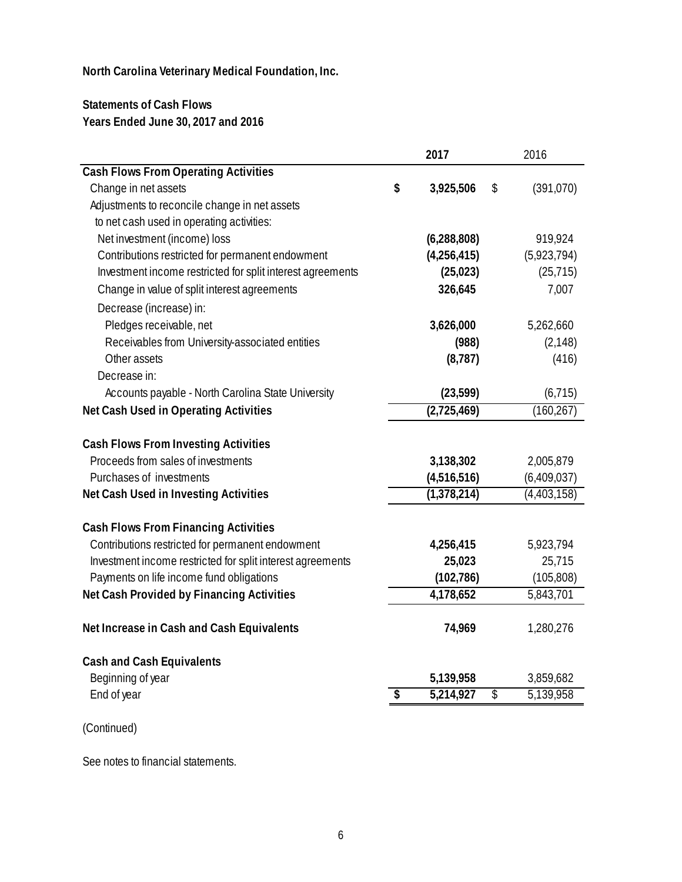## **Statements of Cash Flows Years Ended June 30, 2017 and 2016**

|                                                            | 2017            | 2016                     |             |  |  |
|------------------------------------------------------------|-----------------|--------------------------|-------------|--|--|
| <b>Cash Flows From Operating Activities</b>                |                 |                          |             |  |  |
| Change in net assets                                       | \$<br>3,925,506 | \$                       | (391,070)   |  |  |
| Adjustments to reconcile change in net assets              |                 |                          |             |  |  |
| to net cash used in operating activities:                  |                 |                          |             |  |  |
| Net investment (income) loss                               | (6, 288, 808)   |                          | 919,924     |  |  |
| Contributions restricted for permanent endowment           | (4,256,415)     |                          | (5,923,794) |  |  |
| Investment income restricted for split interest agreements | (25, 023)       |                          | (25, 715)   |  |  |
| Change in value of split interest agreements               | 326,645         |                          | 7,007       |  |  |
| Decrease (increase) in:                                    |                 |                          |             |  |  |
| Pledges receivable, net                                    | 3,626,000       |                          | 5,262,660   |  |  |
| Receivables from University-associated entities            | (988)           |                          | (2, 148)    |  |  |
| Other assets                                               | (8, 787)        |                          | (416)       |  |  |
| Decrease in:                                               |                 |                          |             |  |  |
| Accounts payable - North Carolina State University         | (23, 599)       |                          | (6, 715)    |  |  |
| Net Cash Used in Operating Activities                      | (2,725,469)     |                          | (160, 267)  |  |  |
| <b>Cash Flows From Investing Activities</b>                |                 |                          |             |  |  |
| Proceeds from sales of investments                         | 3,138,302       |                          | 2,005,879   |  |  |
| Purchases of investments                                   | (4,516,516)     |                          | (6,409,037) |  |  |
| Net Cash Used in Investing Activities                      | (1,378,214)     |                          | (4,403,158) |  |  |
| <b>Cash Flows From Financing Activities</b>                |                 |                          |             |  |  |
| Contributions restricted for permanent endowment           | 4,256,415       |                          | 5,923,794   |  |  |
| Investment income restricted for split interest agreements | 25,023          |                          | 25,715      |  |  |
| Payments on life income fund obligations                   | (102, 786)      |                          | (105, 808)  |  |  |
| Net Cash Provided by Financing Activities                  | 4,178,652       |                          | 5,843,701   |  |  |
|                                                            |                 |                          |             |  |  |
| Net Increase in Cash and Cash Equivalents                  | 74,969          |                          | 1,280,276   |  |  |
| <b>Cash and Cash Equivalents</b>                           |                 |                          |             |  |  |
| Beginning of year                                          | 5,139,958       |                          | 3,859,682   |  |  |
| End of year                                                | \$<br>5,214,927 | $\overline{\mathcal{S}}$ | 5,139,958   |  |  |
|                                                            |                 |                          |             |  |  |

(Continued)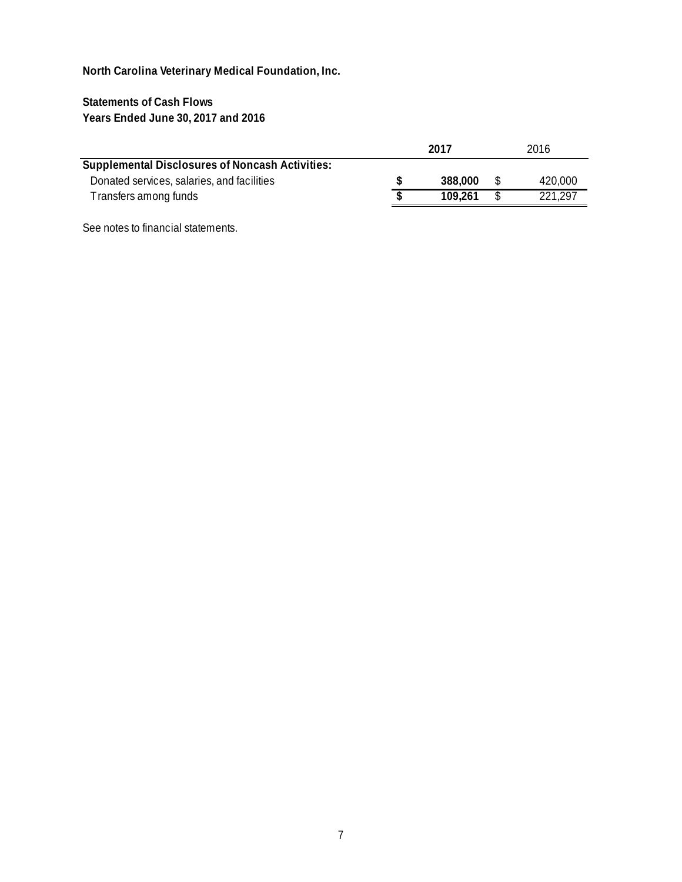## **Statements of Cash Flows Years Ended June 30, 2017 and 2016**

|                                                 | 2017    | 2016    |
|-------------------------------------------------|---------|---------|
| Supplemental Disclosures of Noncash Activities: |         |         |
| Donated services, salaries, and facilities      | 388,000 | 420,000 |
| Transfers among funds                           | 109.261 | 221.297 |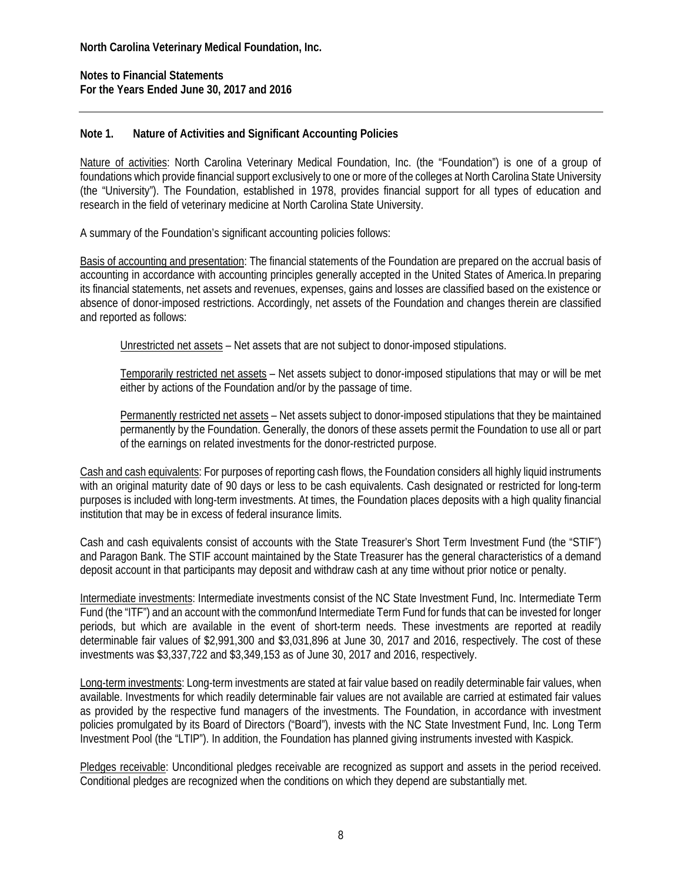**Notes to Financial Statements For the Years Ended June 30, 2017 and 2016** 

### **Note 1. Nature of Activities and Significant Accounting Policies**

Nature of activities: North Carolina Veterinary Medical Foundation, Inc. (the "Foundation") is one of a group of foundations which provide financial support exclusively to one or more of the colleges at North Carolina State University (the "University"). The Foundation, established in 1978, provides financial support for all types of education and research in the field of veterinary medicine at North Carolina State University.

A summary of the Foundation's significant accounting policies follows:

Basis of accounting and presentation: The financial statements of the Foundation are prepared on the accrual basis of accounting in accordance with accounting principles generally accepted in the United States of America.In preparing its financial statements, net assets and revenues, expenses, gains and losses are classified based on the existence or absence of donor-imposed restrictions. Accordingly, net assets of the Foundation and changes therein are classified and reported as follows:

Unrestricted net assets – Net assets that are not subject to donor-imposed stipulations.

Temporarily restricted net assets – Net assets subject to donor-imposed stipulations that may or will be met either by actions of the Foundation and/or by the passage of time.

Permanently restricted net assets – Net assets subject to donor-imposed stipulations that they be maintained permanently by the Foundation. Generally, the donors of these assets permit the Foundation to use all or part of the earnings on related investments for the donor-restricted purpose.

Cash and cash equivalents: For purposes of reporting cash flows, the Foundation considers all highly liquid instruments with an original maturity date of 90 days or less to be cash equivalents. Cash designated or restricted for long-term purposes is included with long-term investments. At times, the Foundation places deposits with a high quality financial institution that may be in excess of federal insurance limits.

Cash and cash equivalents consist of accounts with the State Treasurer's Short Term Investment Fund (the "STIF") and Paragon Bank. The STIF account maintained by the State Treasurer has the general characteristics of a demand deposit account in that participants may deposit and withdraw cash at any time without prior notice or penalty.

Intermediate investments: Intermediate investments consist of the NC State Investment Fund, Inc. Intermediate Term Fund (the "ITF") and an account with the common*f*und Intermediate Term Fund for funds that can be invested for longer periods, but which are available in the event of short-term needs. These investments are reported at readily determinable fair values of \$2,991,300 and \$3,031,896 at June 30, 2017 and 2016, respectively. The cost of these investments was \$3,337,722 and \$3,349,153 as of June 30, 2017 and 2016, respectively.

Long-term investments: Long-term investments are stated at fair value based on readily determinable fair values, when available. Investments for which readily determinable fair values are not available are carried at estimated fair values as provided by the respective fund managers of the investments. The Foundation, in accordance with investment policies promulgated by its Board of Directors ("Board"), invests with the NC State Investment Fund, Inc. Long Term Investment Pool (the "LTIP"). In addition, the Foundation has planned giving instruments invested with Kaspick.

Pledges receivable: Unconditional pledges receivable are recognized as support and assets in the period received. Conditional pledges are recognized when the conditions on which they depend are substantially met.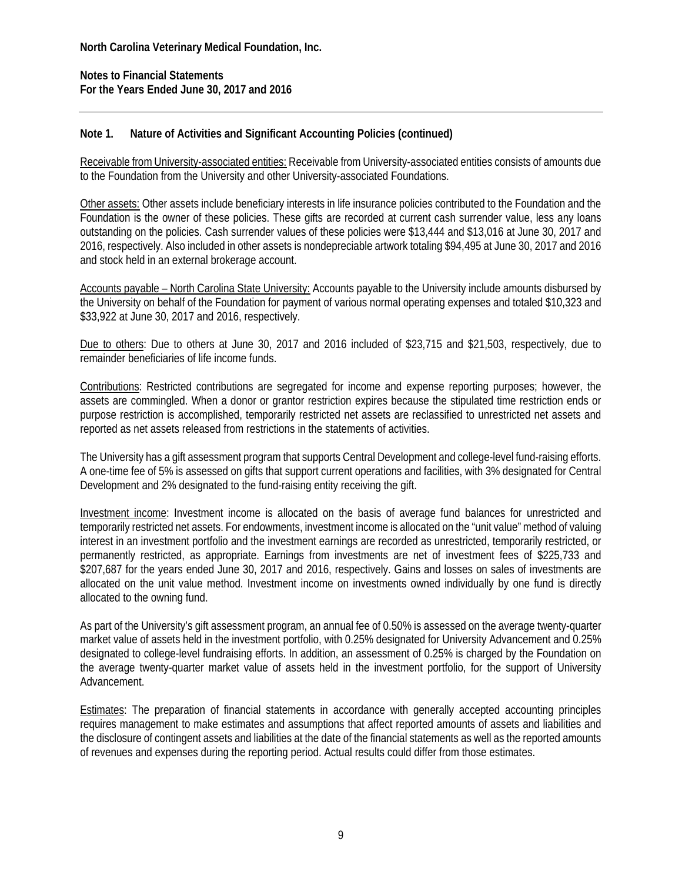**Notes to Financial Statements For the Years Ended June 30, 2017 and 2016** 

## **Note 1. Nature of Activities and Significant Accounting Policies (continued)**

Receivable from University-associated entities: Receivable from University-associated entities consists of amounts due to the Foundation from the University and other University-associated Foundations.

Other assets: Other assets include beneficiary interests in life insurance policies contributed to the Foundation and the Foundation is the owner of these policies. These gifts are recorded at current cash surrender value, less any loans outstanding on the policies. Cash surrender values of these policies were \$13,444 and \$13,016 at June 30, 2017 and 2016, respectively. Also included in other assets is nondepreciable artwork totaling \$94,495 at June 30, 2017 and 2016 and stock held in an external brokerage account.

Accounts payable - North Carolina State University: Accounts payable to the University include amounts disbursed by the University on behalf of the Foundation for payment of various normal operating expenses and totaled \$10,323 and \$33,922 at June 30, 2017 and 2016, respectively.

Due to others: Due to others at June 30, 2017 and 2016 included of \$23,715 and \$21,503, respectively, due to remainder beneficiaries of life income funds.

Contributions: Restricted contributions are segregated for income and expense reporting purposes; however, the assets are commingled. When a donor or grantor restriction expires because the stipulated time restriction ends or purpose restriction is accomplished, temporarily restricted net assets are reclassified to unrestricted net assets and reported as net assets released from restrictions in the statements of activities.

The University has a gift assessment program that supports Central Development and college-level fund-raising efforts. A one-time fee of 5% is assessed on gifts that support current operations and facilities, with 3% designated for Central Development and 2% designated to the fund-raising entity receiving the gift.

Investment income: Investment income is allocated on the basis of average fund balances for unrestricted and temporarily restricted net assets. For endowments, investment income is allocated on the "unit value" method of valuing interest in an investment portfolio and the investment earnings are recorded as unrestricted, temporarily restricted, or permanently restricted, as appropriate. Earnings from investments are net of investment fees of \$225,733 and \$207,687 for the years ended June 30, 2017 and 2016, respectively. Gains and losses on sales of investments are allocated on the unit value method. Investment income on investments owned individually by one fund is directly allocated to the owning fund.

As part of the University's gift assessment program, an annual fee of 0.50% is assessed on the average twenty-quarter market value of assets held in the investment portfolio, with 0.25% designated for University Advancement and 0.25% designated to college-level fundraising efforts. In addition, an assessment of 0.25% is charged by the Foundation on the average twenty-quarter market value of assets held in the investment portfolio, for the support of University Advancement.

Estimates: The preparation of financial statements in accordance with generally accepted accounting principles requires management to make estimates and assumptions that affect reported amounts of assets and liabilities and the disclosure of contingent assets and liabilities at the date of the financial statements as well as the reported amounts of revenues and expenses during the reporting period. Actual results could differ from those estimates.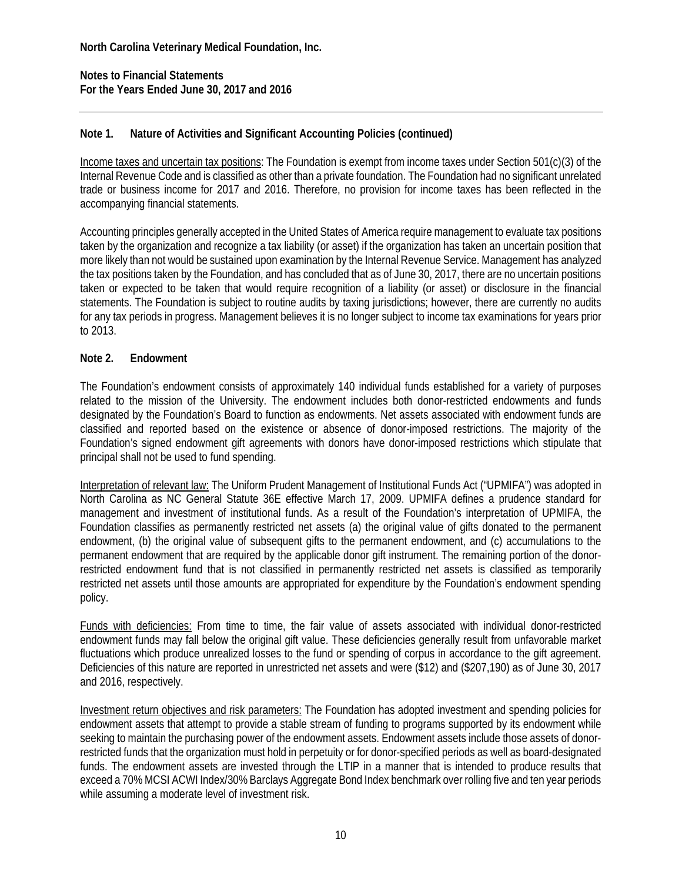**Notes to Financial Statements For the Years Ended June 30, 2017 and 2016** 

## **Note 1. Nature of Activities and Significant Accounting Policies (continued)**

Income taxes and uncertain tax positions: The Foundation is exempt from income taxes under Section 501(c)(3) of the Internal Revenue Code and is classified as other than a private foundation. The Foundation had no significant unrelated trade or business income for 2017 and 2016. Therefore, no provision for income taxes has been reflected in the accompanying financial statements.

Accounting principles generally accepted in the United States of America require management to evaluate tax positions taken by the organization and recognize a tax liability (or asset) if the organization has taken an uncertain position that more likely than not would be sustained upon examination by the Internal Revenue Service. Management has analyzed the tax positions taken by the Foundation, and has concluded that as of June 30, 2017, there are no uncertain positions taken or expected to be taken that would require recognition of a liability (or asset) or disclosure in the financial statements. The Foundation is subject to routine audits by taxing jurisdictions; however, there are currently no audits for any tax periods in progress. Management believes it is no longer subject to income tax examinations for years prior to 2013.

## **Note 2. Endowment**

The Foundation's endowment consists of approximately 140 individual funds established for a variety of purposes related to the mission of the University. The endowment includes both donor-restricted endowments and funds designated by the Foundation's Board to function as endowments. Net assets associated with endowment funds are classified and reported based on the existence or absence of donor-imposed restrictions. The majority of the Foundation's signed endowment gift agreements with donors have donor-imposed restrictions which stipulate that principal shall not be used to fund spending.

Interpretation of relevant law: The Uniform Prudent Management of Institutional Funds Act ("UPMIFA") was adopted in North Carolina as NC General Statute 36E effective March 17, 2009. UPMIFA defines a prudence standard for management and investment of institutional funds. As a result of the Foundation's interpretation of UPMIFA, the Foundation classifies as permanently restricted net assets (a) the original value of gifts donated to the permanent endowment, (b) the original value of subsequent gifts to the permanent endowment, and (c) accumulations to the permanent endowment that are required by the applicable donor gift instrument. The remaining portion of the donorrestricted endowment fund that is not classified in permanently restricted net assets is classified as temporarily restricted net assets until those amounts are appropriated for expenditure by the Foundation's endowment spending policy.

Funds with deficiencies: From time to time, the fair value of assets associated with individual donor-restricted endowment funds may fall below the original gift value. These deficiencies generally result from unfavorable market fluctuations which produce unrealized losses to the fund or spending of corpus in accordance to the gift agreement. Deficiencies of this nature are reported in unrestricted net assets and were (\$12) and (\$207,190) as of June 30, 2017 and 2016, respectively.

Investment return objectives and risk parameters: The Foundation has adopted investment and spending policies for endowment assets that attempt to provide a stable stream of funding to programs supported by its endowment while seeking to maintain the purchasing power of the endowment assets. Endowment assets include those assets of donorrestricted funds that the organization must hold in perpetuity or for donor-specified periods as well as board-designated funds. The endowment assets are invested through the LTIP in a manner that is intended to produce results that exceed a 70% MCSI ACWI Index/30% Barclays Aggregate Bond Index benchmark over rolling five and ten year periods while assuming a moderate level of investment risk.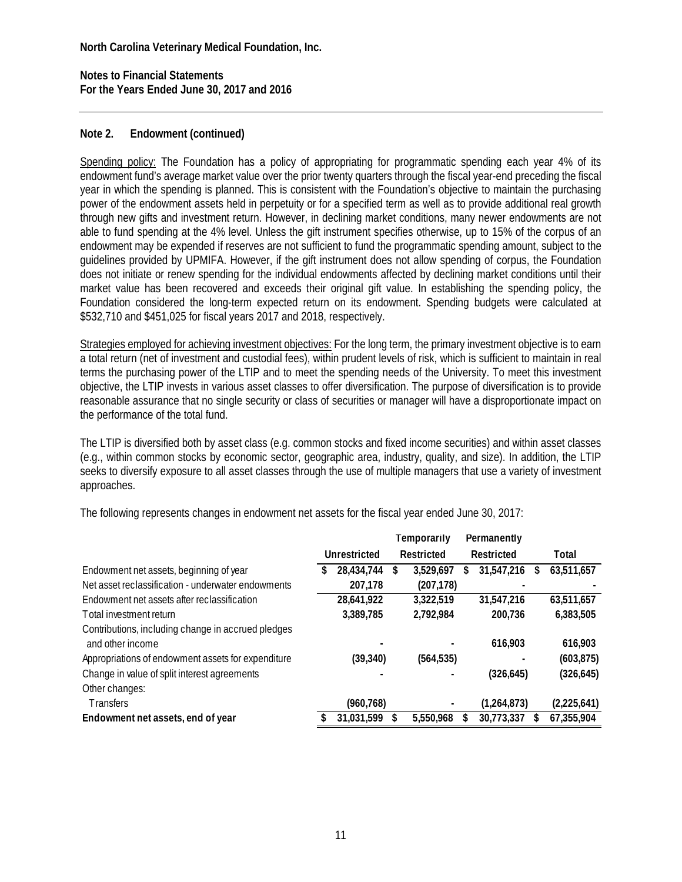**Notes to Financial Statements For the Years Ended June 30, 2017 and 2016** 

## **Note 2. Endowment (continued)**

Spending policy: The Foundation has a policy of appropriating for programmatic spending each year 4% of its endowment fund's average market value over the prior twenty quarters through the fiscal year-end preceding the fiscal year in which the spending is planned. This is consistent with the Foundation's objective to maintain the purchasing power of the endowment assets held in perpetuity or for a specified term as well as to provide additional real growth through new gifts and investment return. However, in declining market conditions, many newer endowments are not able to fund spending at the 4% level. Unless the gift instrument specifies otherwise, up to 15% of the corpus of an endowment may be expended if reserves are not sufficient to fund the programmatic spending amount, subject to the guidelines provided by UPMIFA. However, if the gift instrument does not allow spending of corpus, the Foundation does not initiate or renew spending for the individual endowments affected by declining market conditions until their market value has been recovered and exceeds their original gift value. In establishing the spending policy, the Foundation considered the long-term expected return on its endowment. Spending budgets were calculated at \$532,710 and \$451,025 for fiscal years 2017 and 2018, respectively.

Strategies employed for achieving investment objectives: For the long term, the primary investment objective is to earn a total return (net of investment and custodial fees), within prudent levels of risk, which is sufficient to maintain in real terms the purchasing power of the LTIP and to meet the spending needs of the University. To meet this investment objective, the LTIP invests in various asset classes to offer diversification. The purpose of diversification is to provide reasonable assurance that no single security or class of securities or manager will have a disproportionate impact on the performance of the total fund.

The LTIP is diversified both by asset class (e.g. common stocks and fixed income securities) and within asset classes (e.g., within common stocks by economic sector, geographic area, industry, quality, and size). In addition, the LTIP seeks to diversify exposure to all asset classes through the use of multiple managers that use a variety of investment approaches.

The following represents changes in endowment net assets for the fiscal year ended June 30, 2017:

|                                                    | Temporarily  |            |            |            | Permanently |             |   |             |
|----------------------------------------------------|--------------|------------|------------|------------|-------------|-------------|---|-------------|
|                                                    | Unrestricted |            | Restricted |            | Restricted  |             |   | Total       |
| Endowment net assets, beginning of year            | S            | 28,434,744 | S          | 3,529,697  | S           | 31,547,216  | S | 63,511,657  |
| Net asset reclassification - underwater endowments |              | 207,178    |            | (207, 178) |             |             |   |             |
| Endowment net assets after reclassification        |              | 28,641,922 |            | 3,322,519  |             | 31,547,216  |   | 63,511,657  |
| Total investment return                            |              | 3,389,785  |            | 2,792,984  |             | 200,736     |   | 6,383,505   |
| Contributions, including change in accrued pledges |              |            |            |            |             |             |   |             |
| and other income                                   |              |            |            |            |             | 616.903     |   | 616,903     |
| Appropriations of endowment assets for expenditure |              | (39, 340)  |            | (564, 535) |             |             |   | (603, 875)  |
| Change in value of split interest agreements       |              |            |            |            |             | (326, 645)  |   | (326, 645)  |
| Other changes:                                     |              |            |            |            |             |             |   |             |
| <b>Transfers</b>                                   |              | (960, 768) |            |            |             | (1,264,873) |   | (2,225,641) |
| Endowment net assets, end of year                  |              | 31,031,599 |            | 5.550.968  |             | 30,773,337  |   | 67,355,904  |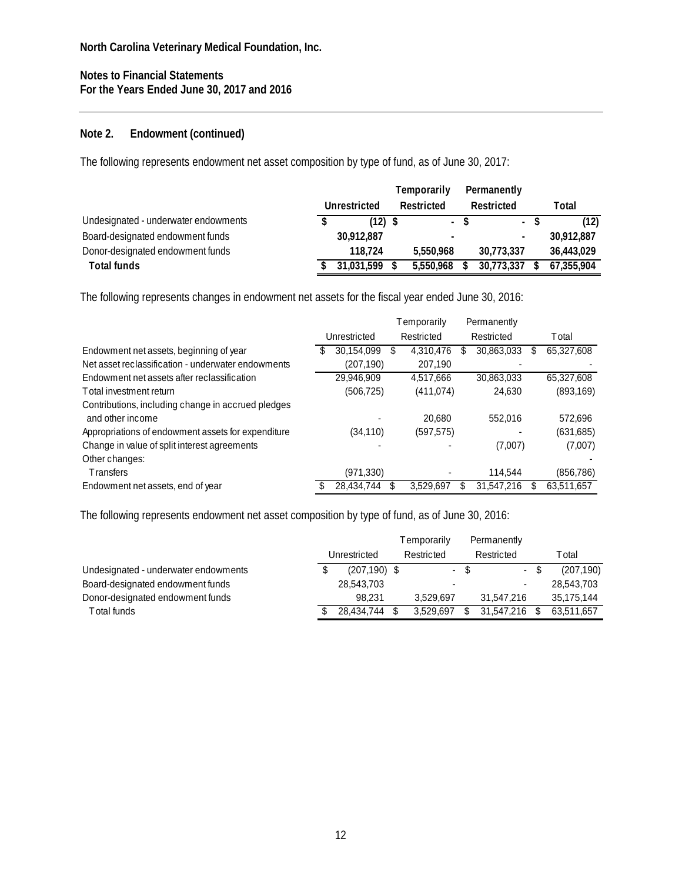## **Notes to Financial Statements For the Years Ended June 30, 2017 and 2016**

## **Note 2. Endowment (continued)**

The following represents endowment net asset composition by type of fund, as of June 30, 2017:

|                                      |                     | Temporarily |  |            |            | Permanently |  |            |  |
|--------------------------------------|---------------------|-------------|--|------------|------------|-------------|--|------------|--|
|                                      | <b>Unrestricted</b> |             |  | Restricted | Restricted |             |  | Total      |  |
| Undesignated - underwater endowments |                     | $(12)$ \$   |  |            | - \$       | - \$        |  | (12)       |  |
| Board-designated endowment funds     |                     | 30,912,887  |  | -          |            |             |  | 30.912.887 |  |
| Donor-designated endowment funds     |                     | 118.724     |  | 5.550.968  |            | 30.773.337  |  | 36,443,029 |  |
| <b>Total funds</b>                   |                     | 31,031,599  |  | 5.550.968  |            | 30,773,337  |  | 67,355,904 |  |

The following represents changes in endowment net assets for the fiscal year ended June 30, 2016:

|                                                    |  |              |  | Temporarily |   | Permanently |   |            |
|----------------------------------------------------|--|--------------|--|-------------|---|-------------|---|------------|
|                                                    |  | Unrestricted |  | Restricted  |   | Restricted  |   | T otal     |
| Endowment net assets, beginning of year            |  | 30.154.099   |  | 4,310,476   | S | 30,863,033  | S | 65,327,608 |
| Net asset reclassification - underwater endowments |  | (207, 190)   |  | 207.190     |   |             |   |            |
| Endowment net assets after reclassification        |  | 29.946.909   |  | 4,517,666   |   | 30.863.033  |   | 65,327,608 |
| Total investment return                            |  | (506, 725)   |  | (411, 074)  |   | 24,630      |   | (893, 169) |
| Contributions, including change in accrued pledges |  |              |  |             |   |             |   |            |
| and other income                                   |  |              |  | 20.680      |   | 552.016     |   | 572.696    |
| Appropriations of endowment assets for expenditure |  | (34, 110)    |  | (597, 575)  |   |             |   | (631, 685) |
| Change in value of split interest agreements       |  |              |  |             |   | (7,007)     |   | (7,007)    |
| Other changes:                                     |  |              |  |             |   |             |   |            |
| <b>Transfers</b>                                   |  | (971, 330)   |  |             |   | 114,544     |   | (856, 786) |
| Endowment net assets, end of year                  |  | 28,434,744   |  | 3.529.697   |   | 31.547.216  |   | 63.511.657 |

The following represents endowment net asset composition by type of fund, as of June 30, 2016:

|                                      | Temporarily  |                 |  |            |    | Permanently              |  |            |
|--------------------------------------|--------------|-----------------|--|------------|----|--------------------------|--|------------|
|                                      | Unrestricted |                 |  | Restricted |    | Restricted               |  | T otal     |
| Undesignated - underwater endowments |              | $(207, 190)$ \$ |  | $\sim$     | -S | $\sim$                   |  | (207, 190) |
| Board-designated endowment funds     |              | 28,543,703      |  |            |    | $\overline{\phantom{a}}$ |  | 28,543,703 |
| Donor-designated endowment funds     |              | 98.231          |  | 3.529.697  |    | 31.547.216               |  | 35.175.144 |
| Total funds                          |              | 28.434.744      |  | 3.529.697  |    | 31.547.216               |  | 63,511,657 |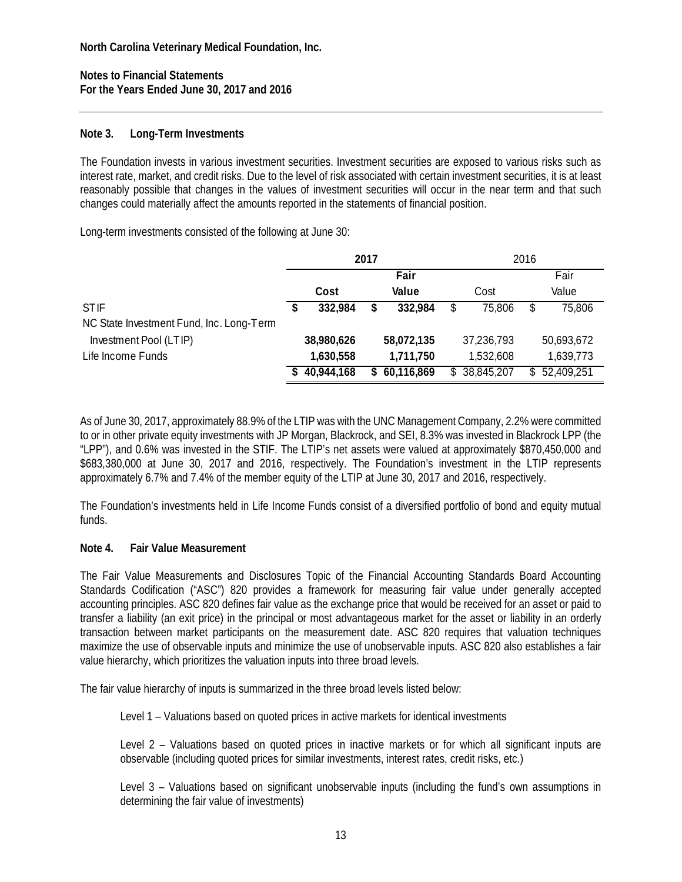## **Notes to Financial Statements For the Years Ended June 30, 2017 and 2016**

### **Note 3. Long-Term Investments**

The Foundation invests in various investment securities. Investment securities are exposed to various risks such as interest rate, market, and credit risks. Due to the level of risk associated with certain investment securities, it is at least reasonably possible that changes in the values of investment securities will occur in the near term and that such changes could materially affect the amounts reported in the statements of financial position.

Long-term investments consisted of the following at June 30:

|                                          |                       |            | 2017 |            | 2016 |              |    |            |  |  |
|------------------------------------------|-----------------------|------------|------|------------|------|--------------|----|------------|--|--|
|                                          |                       |            |      | Fair       |      |              |    |            |  |  |
|                                          | Value<br>Cost<br>Cost |            |      |            |      |              |    | Value      |  |  |
| <b>STIF</b>                              | \$                    | 332,984    |      | 332,984    |      | 75,806       |    | 75,806     |  |  |
| NC State Investment Fund, Inc. Long-Term |                       |            |      |            |      |              |    |            |  |  |
| Investment Pool (LTIP)                   |                       | 38,980,626 |      | 58,072,135 |      | 37,236,793   |    | 50,693,672 |  |  |
| Life Income Funds                        |                       | 1,630,558  |      | 1,711,750  |      | 1,532,608    |    | 1,639,773  |  |  |
|                                          |                       | 40,944,168 |      | 60,116,869 |      | \$38,845,207 | S. | 52,409,251 |  |  |

As of June 30, 2017, approximately 88.9% of the LTIP was with the UNC Management Company, 2.2% were committed to or in other private equity investments with JP Morgan, Blackrock, and SEI, 8.3% was invested in Blackrock LPP (the "LPP"), and 0.6% was invested in the STIF. The LTIP's net assets were valued at approximately \$870,450,000 and \$683,380,000 at June 30, 2017 and 2016, respectively. The Foundation's investment in the LTIP represents approximately 6.7% and 7.4% of the member equity of the LTIP at June 30, 2017 and 2016, respectively.

The Foundation's investments held in Life Income Funds consist of a diversified portfolio of bond and equity mutual funds.

#### **Note 4. Fair Value Measurement**

The Fair Value Measurements and Disclosures Topic of the Financial Accounting Standards Board Accounting Standards Codification ("ASC") 820 provides a framework for measuring fair value under generally accepted accounting principles. ASC 820 defines fair value as the exchange price that would be received for an asset or paid to transfer a liability (an exit price) in the principal or most advantageous market for the asset or liability in an orderly transaction between market participants on the measurement date. ASC 820 requires that valuation techniques maximize the use of observable inputs and minimize the use of unobservable inputs. ASC 820 also establishes a fair value hierarchy, which prioritizes the valuation inputs into three broad levels.

The fair value hierarchy of inputs is summarized in the three broad levels listed below:

Level 1 – Valuations based on quoted prices in active markets for identical investments

Level 2 – Valuations based on quoted prices in inactive markets or for which all significant inputs are observable (including quoted prices for similar investments, interest rates, credit risks, etc.)

Level 3 – Valuations based on significant unobservable inputs (including the fund's own assumptions in determining the fair value of investments)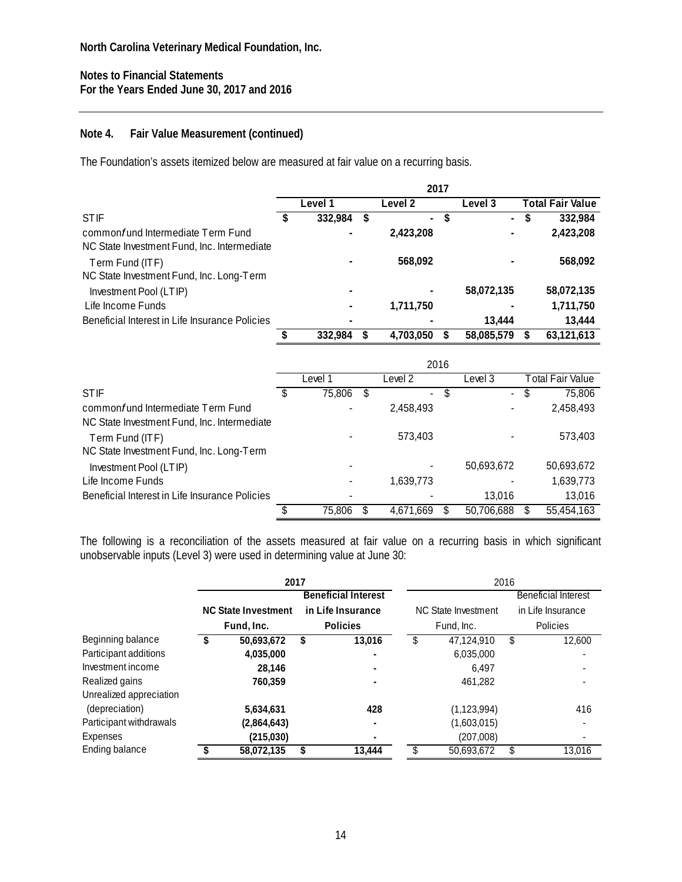## **Notes to Financial Statements For the Years Ended June 30, 2017 and 2016**

## **Note 4. Fair Value Measurement (continued)**

The Foundation's assets itemized below are measured at fair value on a recurring basis.

|                                                | 2017 |         |  |                          |   |                          |                         |            |  |  |  |  |
|------------------------------------------------|------|---------|--|--------------------------|---|--------------------------|-------------------------|------------|--|--|--|--|
|                                                |      | Level 1 |  | Level 2                  |   | Level 3                  | <b>Total Fair Value</b> |            |  |  |  |  |
| <b>STIF</b>                                    |      | 332,984 |  | $\overline{\phantom{a}}$ |   | $\overline{\phantom{0}}$ |                         | 332.984    |  |  |  |  |
| commonfund Intermediate Term Fund              |      |         |  | 2,423,208                |   |                          |                         | 2,423,208  |  |  |  |  |
| NC State Investment Fund, Inc. Intermediate    |      |         |  |                          |   |                          |                         |            |  |  |  |  |
| Term Fund (ITF)                                |      |         |  | 568.092                  |   |                          |                         | 568,092    |  |  |  |  |
| NC State Investment Fund, Inc. Long-Term       |      |         |  |                          |   |                          |                         |            |  |  |  |  |
| Investment Pool (LTIP)                         |      |         |  | ٠                        |   | 58,072,135               |                         | 58,072,135 |  |  |  |  |
| Life Income Funds                              |      |         |  | 1,711,750                |   |                          |                         | 1,711,750  |  |  |  |  |
| Beneficial Interest in Life Insurance Policies |      |         |  |                          |   | 13,444                   |                         | 13,444     |  |  |  |  |
|                                                |      | 332.984 |  | 4.703.050                | S | 58.085.579               |                         | 63,121,613 |  |  |  |  |

|                                                |         | 2016                     |                |                  |
|------------------------------------------------|---------|--------------------------|----------------|------------------|
|                                                | Level 1 | Level 2                  | Level 3        | Total Fair Value |
| <b>STIF</b>                                    | 75,806  | $\overline{\phantom{a}}$ | $\blacksquare$ | 75,806           |
| commonfund Intermediate Term Fund              |         | 2,458,493                |                | 2,458,493        |
| NC State Investment Fund, Inc. Intermediate    |         |                          |                |                  |
| Term Fund (ITF)                                |         | 573,403                  |                | 573.403          |
| NC State Investment Fund, Inc. Long-Term       |         |                          |                |                  |
| Investment Pool (LTIP)                         |         |                          | 50,693,672     | 50,693,672       |
| Life Income Funds                              |         | 1,639,773                |                | 1,639,773        |
| Beneficial Interest in Life Insurance Policies |         |                          | 13,016         | 13,016           |
|                                                | 75,806  | 4,671,669                | 50,706,688     | 55,454,163       |

The following is a reconciliation of the assets measured at fair value on a recurring basis in which significant unobservable inputs (Level 3) were used in determining value at June 30:

|                         | 2017                       |                            | 2016       |                     |    |                            |  |                   |
|-------------------------|----------------------------|----------------------------|------------|---------------------|----|----------------------------|--|-------------------|
|                         |                            | <b>Beneficial Interest</b> |            |                     |    | <b>Beneficial Interest</b> |  |                   |
|                         | <b>NC State Investment</b> | in Life Insurance          |            | NC State Investment |    |                            |  | in Life Insurance |
|                         | Fund, Inc.                 | <b>Policies</b>            | Fund, Inc. |                     |    | Policies                   |  |                   |
| Beginning balance       | 50,693,672                 | \$<br>13,016               |            | 47,124,910          | \$ | 12,600                     |  |                   |
| Participant additions   | 4,035,000                  |                            |            | 6,035,000           |    |                            |  |                   |
| Investment income       | 28.146                     |                            |            | 6.497               |    |                            |  |                   |
| Realized gains          | 760,359                    |                            |            | 461.282             |    |                            |  |                   |
| Unrealized appreciation |                            |                            |            |                     |    |                            |  |                   |
| (depreciation)          | 5,634,631                  | 428                        |            | (1, 123, 994)       |    | 416                        |  |                   |
| Participant withdrawals | (2,864,643)                |                            |            | (1,603,015)         |    |                            |  |                   |
| Expenses                | (215,030)                  |                            |            | (207,008)           |    |                            |  |                   |
| Ending balance          | 58,072,135                 | \$<br>13,444               |            | 50,693,672          | \$ | 13,016                     |  |                   |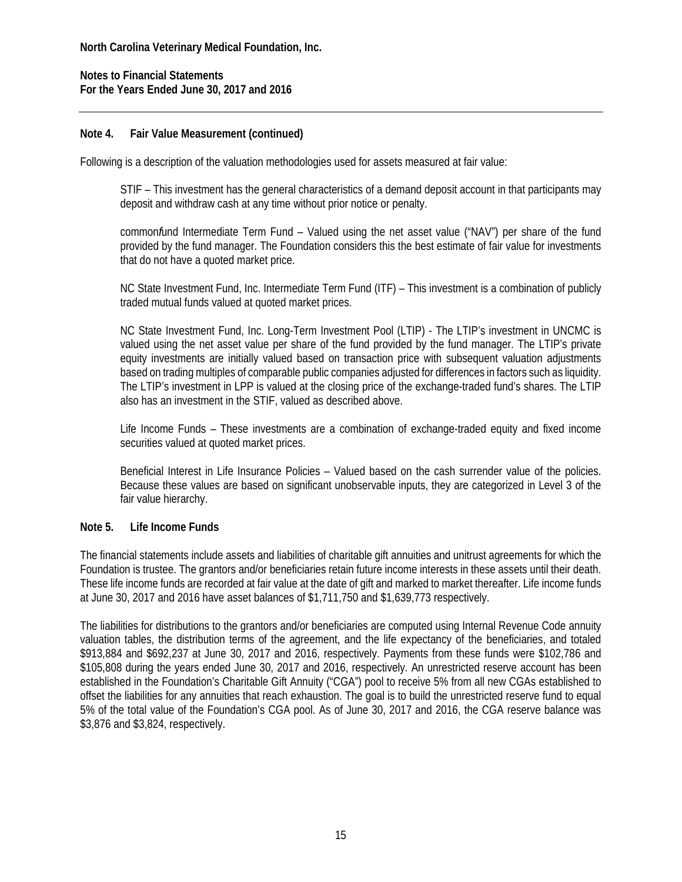**Notes to Financial Statements For the Years Ended June 30, 2017 and 2016** 

## **Note 4. Fair Value Measurement (continued)**

Following is a description of the valuation methodologies used for assets measured at fair value:

STIF – This investment has the general characteristics of a demand deposit account in that participants may deposit and withdraw cash at any time without prior notice or penalty.

common*f*und Intermediate Term Fund – Valued using the net asset value ("NAV") per share of the fund provided by the fund manager. The Foundation considers this the best estimate of fair value for investments that do not have a quoted market price.

NC State Investment Fund, Inc. Intermediate Term Fund (ITF) – This investment is a combination of publicly traded mutual funds valued at quoted market prices.

NC State Investment Fund, Inc. Long-Term Investment Pool (LTIP) - The LTIP's investment in UNCMC is valued using the net asset value per share of the fund provided by the fund manager. The LTIP's private equity investments are initially valued based on transaction price with subsequent valuation adjustments based on trading multiples of comparable public companies adjusted for differences in factors such as liquidity. The LTIP's investment in LPP is valued at the closing price of the exchange-traded fund's shares. The LTIP also has an investment in the STIF, valued as described above.

Life Income Funds – These investments are a combination of exchange-traded equity and fixed income securities valued at quoted market prices.

Beneficial Interest in Life Insurance Policies – Valued based on the cash surrender value of the policies. Because these values are based on significant unobservable inputs, they are categorized in Level 3 of the fair value hierarchy.

#### **Note 5. Life Income Funds**

The financial statements include assets and liabilities of charitable gift annuities and unitrust agreements for which the Foundation is trustee. The grantors and/or beneficiaries retain future income interests in these assets until their death. These life income funds are recorded at fair value at the date of gift and marked to market thereafter. Life income funds at June 30, 2017 and 2016 have asset balances of \$1,711,750 and \$1,639,773 respectively.

The liabilities for distributions to the grantors and/or beneficiaries are computed using Internal Revenue Code annuity valuation tables, the distribution terms of the agreement, and the life expectancy of the beneficiaries, and totaled \$913,884 and \$692,237 at June 30, 2017 and 2016, respectively. Payments from these funds were \$102,786 and \$105,808 during the years ended June 30, 2017 and 2016, respectively. An unrestricted reserve account has been established in the Foundation's Charitable Gift Annuity ("CGA") pool to receive 5% from all new CGAs established to offset the liabilities for any annuities that reach exhaustion. The goal is to build the unrestricted reserve fund to equal 5% of the total value of the Foundation's CGA pool. As of June 30, 2017 and 2016, the CGA reserve balance was \$3,876 and \$3,824, respectively.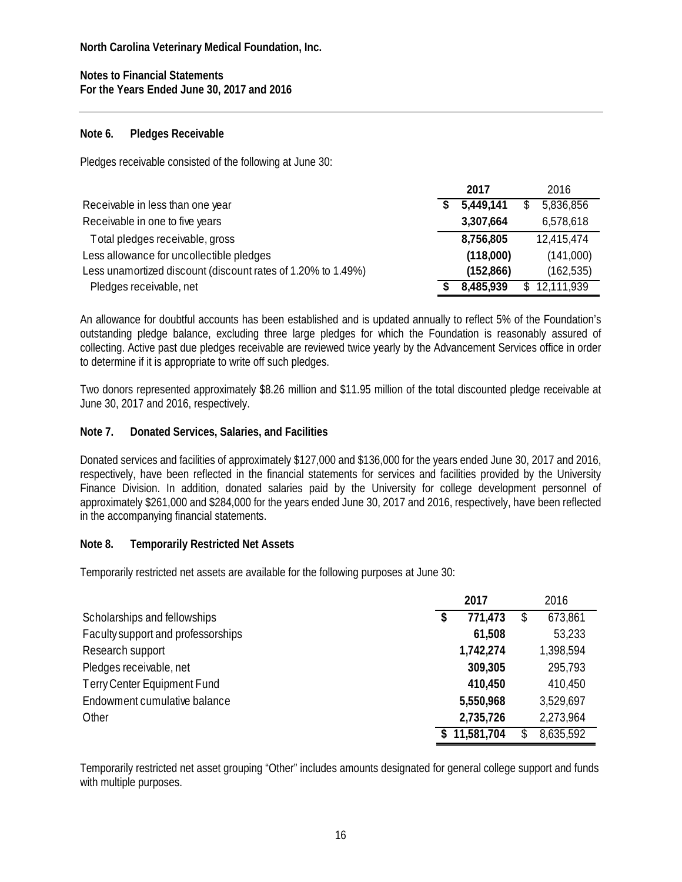## **Notes to Financial Statements For the Years Ended June 30, 2017 and 2016**

### **Note 6. Pledges Receivable**

Pledges receivable consisted of the following at June 30:

|                                                              |   | 2017      |                | 2016       |
|--------------------------------------------------------------|---|-----------|----------------|------------|
| Receivable in less than one year                             | S | 5,449,141 | S              | 5,836,856  |
| Receivable in one to five years                              |   | 3,307,664 |                | 6,578,618  |
| Total pledges receivable, gross                              |   | 8,756,805 |                | 12,415,474 |
| Less allowance for uncollectible pledges                     |   | (118,000) |                | (141,000)  |
| Less unamortized discount (discount rates of 1.20% to 1.49%) |   | (152,866) |                | (162, 535) |
| Pledges receivable, net                                      |   | 8,485,939 | $\mathbb{S}^-$ | 12,111,939 |

An allowance for doubtful accounts has been established and is updated annually to reflect 5% of the Foundation's outstanding pledge balance, excluding three large pledges for which the Foundation is reasonably assured of collecting. Active past due pledges receivable are reviewed twice yearly by the Advancement Services office in order to determine if it is appropriate to write off such pledges.

Two donors represented approximately \$8.26 million and \$11.95 million of the total discounted pledge receivable at June 30, 2017 and 2016, respectively.

### **Note 7. Donated Services, Salaries, and Facilities**

Donated services and facilities of approximately \$127,000 and \$136,000 for the years ended June 30, 2017 and 2016, respectively, have been reflected in the financial statements for services and facilities provided by the University Finance Division. In addition, donated salaries paid by the University for college development personnel of approximately \$261,000 and \$284,000 for the years ended June 30, 2017 and 2016, respectively, have been reflected in the accompanying financial statements.

#### **Note 8. Temporarily Restricted Net Assets**

Temporarily restricted net assets are available for the following purposes at June 30:

|                                    |              | 2017       |    | 2016      |
|------------------------------------|--------------|------------|----|-----------|
| Scholarships and fellowships       | -S           | 771,473    | \$ | 673,861   |
| Faculty support and professorships |              | 61,508     |    | 53,233    |
| Research support                   |              | 1,742,274  |    | 1,398,594 |
| Pledges receivable, net            |              | 309,305    |    | 295,793   |
| Terry Center Equipment Fund        |              | 410,450    |    | 410,450   |
| Endowment cumulative balance       |              | 5,550,968  |    | 3,529,697 |
| Other                              |              | 2,735,726  |    | 2,273,964 |
|                                    | <sup>S</sup> | 11,581,704 | S. | 8,635,592 |

Temporarily restricted net asset grouping "Other" includes amounts designated for general college support and funds with multiple purposes.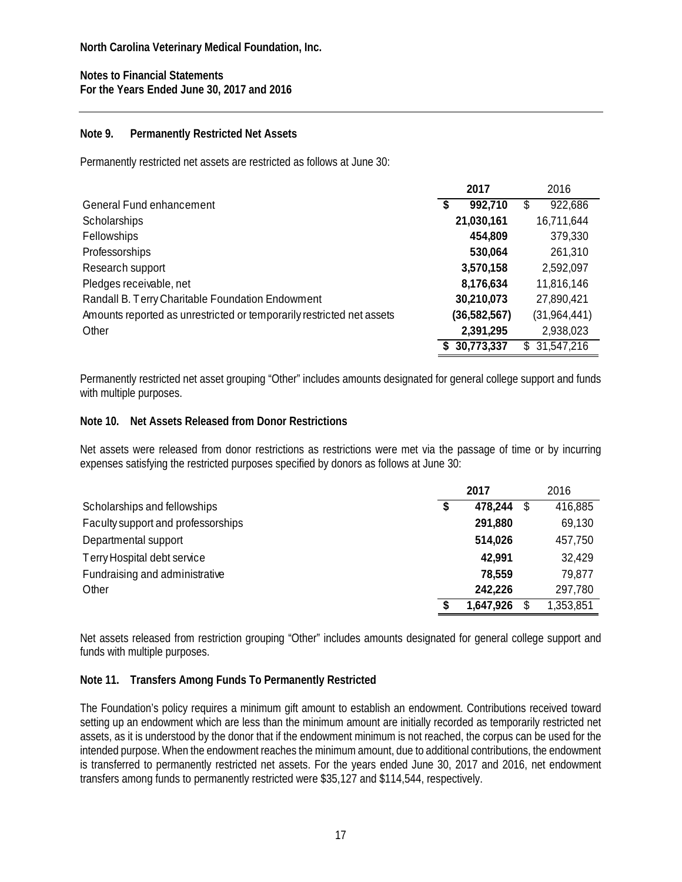**Notes to Financial Statements For the Years Ended June 30, 2017 and 2016** 

## **Note 9. Permanently Restricted Net Assets**

Permanently restricted net assets are restricted as follows at June 30:

|                                                                       |    | 2017         | 2016              |
|-----------------------------------------------------------------------|----|--------------|-------------------|
| General Fund enhancement                                              | \$ | 992,710      | 922,686<br>S      |
| Scholarships                                                          |    | 21,030,161   | 16,711,644        |
| Fellowships                                                           |    | 454,809      | 379,330           |
| Professorships                                                        |    | 530,064      | 261,310           |
| Research support                                                      |    | 3,570,158    | 2,592,097         |
| Pledges receivable, net                                               |    | 8,176,634    | 11,816,146        |
| Randall B. Terry Charitable Foundation Endowment                      |    | 30,210,073   | 27,890,421        |
| Amounts reported as unrestricted or temporarily restricted net assets |    | (36,582,567) | (31,964,441)      |
| Other                                                                 |    | 2,391,295    | 2,938,023         |
|                                                                       | S. | 30,773,337   | 31,547,216<br>\$. |

Permanently restricted net asset grouping "Other" includes amounts designated for general college support and funds with multiple purposes.

### **Note 10. Net Assets Released from Donor Restrictions**

Net assets were released from donor restrictions as restrictions were met via the passage of time or by incurring expenses satisfying the restricted purposes specified by donors as follows at June 30:

|                                    |    | 2017      |   | 2016      |
|------------------------------------|----|-----------|---|-----------|
| Scholarships and fellowships       | \$ | 478,244   | S | 416,885   |
| Faculty support and professorships |    | 291,880   |   | 69,130    |
| Departmental support               |    | 514,026   |   | 457,750   |
| Terry Hospital debt service        |    | 42,991    |   | 32,429    |
| Fundraising and administrative     |    | 78,559    |   | 79,877    |
| Other                              |    | 242,226   |   | 297,780   |
|                                    | S  | 1,647,926 | S | 1,353,851 |

Net assets released from restriction grouping "Other" includes amounts designated for general college support and funds with multiple purposes.

## **Note 11. Transfers Among Funds To Permanently Restricted**

The Foundation's policy requires a minimum gift amount to establish an endowment. Contributions received toward setting up an endowment which are less than the minimum amount are initially recorded as temporarily restricted net assets, as it is understood by the donor that if the endowment minimum is not reached, the corpus can be used for the intended purpose. When the endowment reaches the minimum amount, due to additional contributions, the endowment is transferred to permanently restricted net assets. For the years ended June 30, 2017 and 2016, net endowment transfers among funds to permanently restricted were \$35,127 and \$114,544, respectively.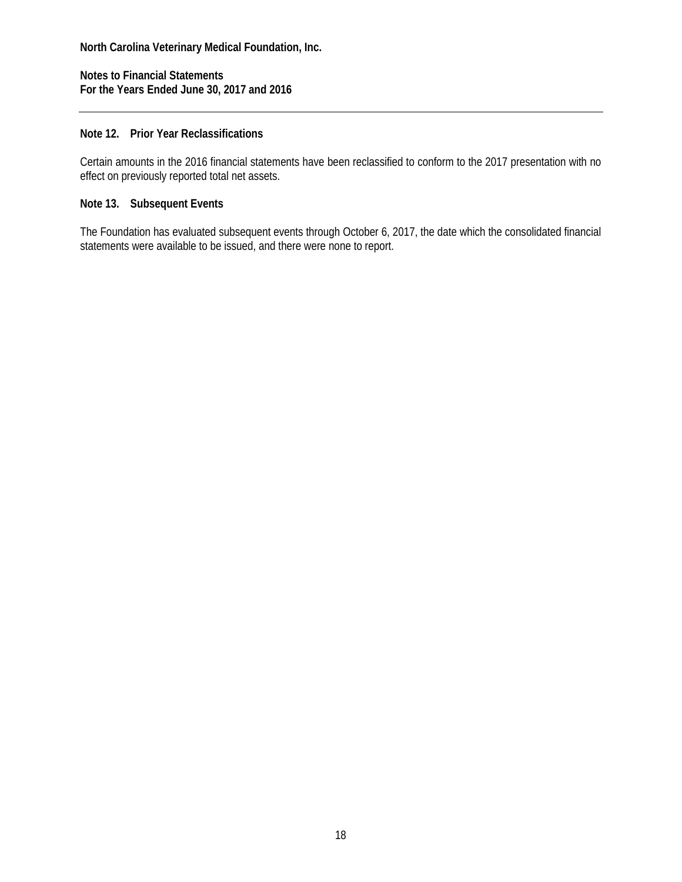**Notes to Financial Statements For the Years Ended June 30, 2017 and 2016** 

### **Note 12. Prior Year Reclassifications**

Certain amounts in the 2016 financial statements have been reclassified to conform to the 2017 presentation with no effect on previously reported total net assets.

### **Note 13. Subsequent Events**

The Foundation has evaluated subsequent events through October 6, 2017, the date which the consolidated financial statements were available to be issued, and there were none to report.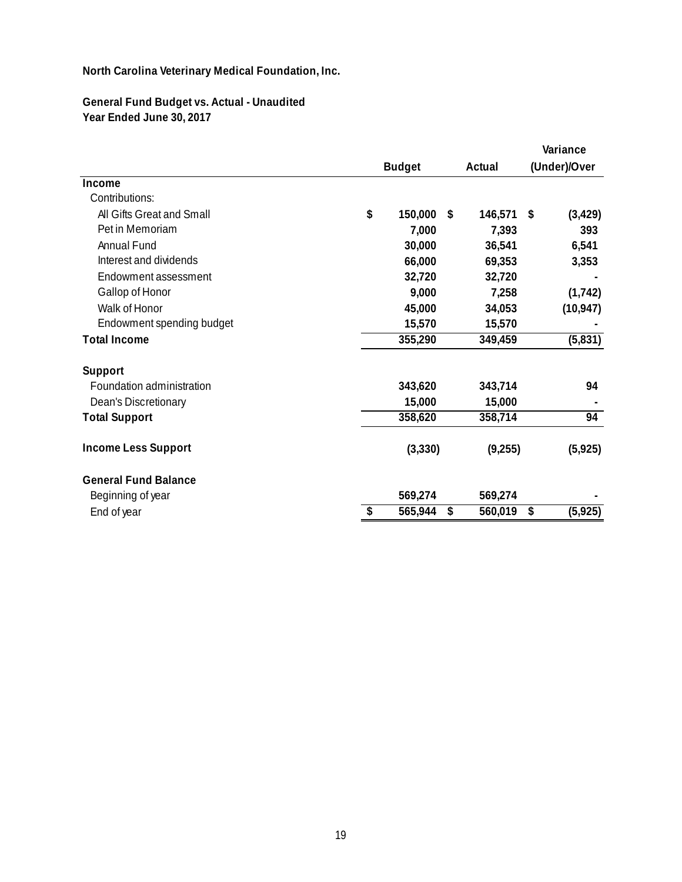**General Fund Budget vs. Actual - Unaudited Year Ended June 30, 2017**

|                             |    |               |    |         |              | Variance  |  |
|-----------------------------|----|---------------|----|---------|--------------|-----------|--|
|                             |    | <b>Budget</b> |    | Actual  | (Under)/Over |           |  |
| Income                      |    |               |    |         |              |           |  |
| Contributions:              |    |               |    |         |              |           |  |
| All Gifts Great and Small   | \$ | 150,000       | \$ | 146,571 | - \$         | (3, 429)  |  |
| Pet in Memoriam             |    | 7,000         |    | 7,393   |              | 393       |  |
| <b>Annual Fund</b>          |    | 30,000        |    | 36,541  |              | 6,541     |  |
| Interest and dividends      |    | 66,000        |    | 69,353  |              | 3,353     |  |
| Endowment assessment        |    | 32,720        |    | 32,720  |              |           |  |
| Gallop of Honor             |    | 9,000         |    | 7,258   |              | (1, 742)  |  |
| Walk of Honor               |    | 45,000        |    | 34,053  |              | (10, 947) |  |
| Endowment spending budget   |    | 15,570        |    | 15,570  |              |           |  |
| <b>Total Income</b>         |    | 355,290       |    | 349,459 |              | (5,831)   |  |
| Support                     |    |               |    |         |              |           |  |
| Foundation administration   |    | 343,620       |    | 343,714 |              | 94        |  |
| Dean's Discretionary        |    | 15,000        |    | 15,000  |              |           |  |
| <b>Total Support</b>        |    | 358,620       |    | 358,714 |              | 94        |  |
| <b>Income Less Support</b>  |    | (3, 330)      |    | (9,255) |              | (5, 925)  |  |
| <b>General Fund Balance</b> |    |               |    |         |              |           |  |
| Beginning of year           |    | 569,274       |    | 569,274 |              |           |  |
| End of year                 | \$ | 565,944       | \$ | 560,019 | \$           | (5, 925)  |  |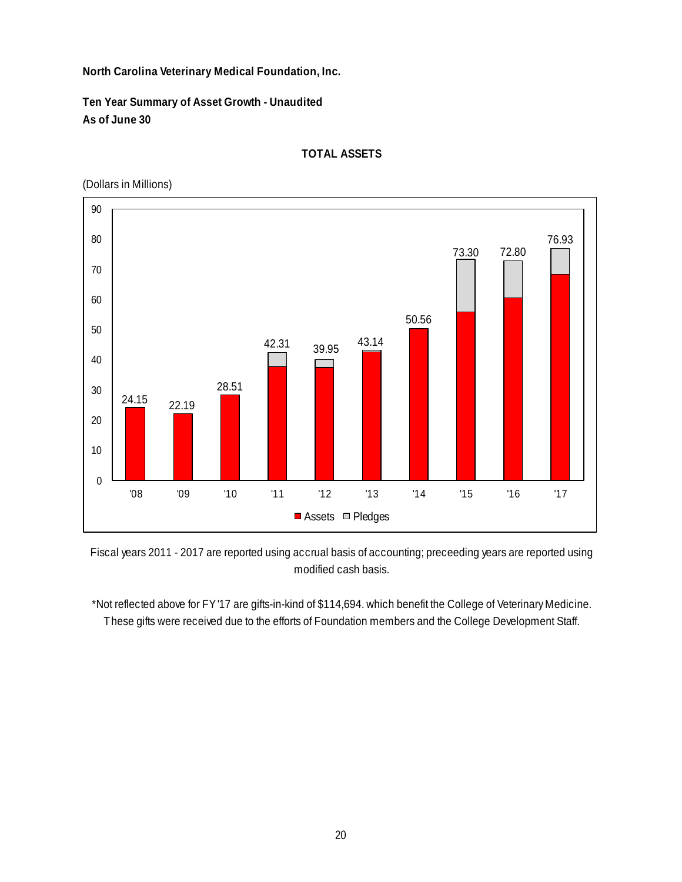**Ten Year Summary of Asset Growth - Unaudited As of June 30**



(Dollars in Millions)



Fiscal years 2011 - 2017 are reported using accrual basis of accounting; preceeding years are reported using modified cash basis.

\*Not reflected above for FY '17 are gifts-in-kind of \$114,694. which benefit the College of Veterinary Medicine. These gifts were received due to the efforts of Foundation members and the College Development Staff.